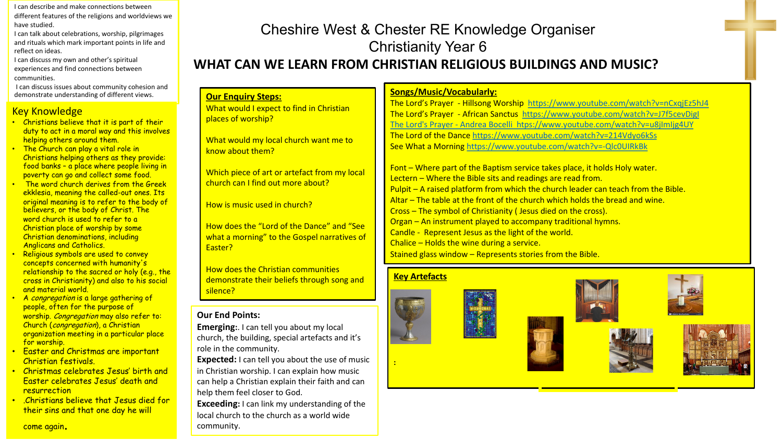I can describe and make connections between different features of the religions and worldviews we have studied.

I can talk about celebrations, worship, pilgrimages and rituals which mark important points in life and reflect on ideas.

I can discuss my own and other's spiritual experiences and find connections between communities.

I can discuss issues about community cohesion and demonstrate understanding of different views.

#### Key Knowledge

- Christians believe that it is part of their duty to act in a moral way and this involves helping others around them.
- **The Church can play a vital role in** Christians helping others as they provide: food banks – a place where people living in poverty can go and collect some food.
- **The word church derives from the Greek** ekklesia, meaning the called-out ones. Its original meaning is to refer to the body of believers, or the body of Christ. The word church is used to refer to a Christian place of worship by some Christian denominations, including Anglicans and Catholics.
- **Religious symbols are used to convey** concepts concerned with humanity's relationship to the sacred or holy (e.g., the cross in Christianity) and also to his social and material world.
- A congregation is a large gathering of people, often for the purpose of worship. Congregation may also refer to: Church (congregation), a Christian organization meeting in a particular place for worship.

**Our End Points:**

Easter?

silence?

community.

role in the community.

**Our Enquiry Steps:**

places of worship?

know about them?

What would I expect to find in Christian

What would my local church want me to

Which piece of art or artefact from my local

How does the "Lord of the Dance" and "See what a morning" to the Gospel narratives of

demonstrate their beliefs through song and

church can I find out more about?

How is music used in church?

help them feel closer to God.

**Emerging:**. I can tell you about my local church, the building, special artefacts and it's

How does the Christian communities

**Expected:** I can tell you about the use of music in Christian worship. I can explain how music can help a Christian explain their faith and can

**Exceeding:** I can link my understanding of the local church to the church as a world wide

- Easter and Christmas are important Christian festivals.
- Christmas celebrates Jesus' birth and Easter celebrates Jesus' death and **resurrection**
- .Christians believe that Jesus died for their sins and that one day he will

#### come again.

### Cheshire West & Chester RE Knowledge Organiser Christianity Year 6 **WHAT CAN WE LEARN FROM CHRISTIAN RELIGIOUS BUILDINGS AND MUSIC?**

### **Songs/Music/Vocabularly:**

The Lord's Prayer - Hillsong Worship <https://www.youtube.com/watch?v=nCxqjEz5hJ4> The Lord's Prayer - African Sanctus <https://www.youtube.com/watch?v=J7f5cevDigI> The Lord's Prayer - [Andrea Bocelli htps://www.youtube.com/watch?v=u8jImIjg4UY](https://www.youtube.com/watch?v=u8jImIjg4UY) The Lord of the Dance<https://www.youtube.com/watch?v=214Vdyo6kSs> See What a Morning <https://www.youtube.com/watch?v=-Qlc0UIRkBk>

Font – Where part of the Baptism service takes place, it holds Holy water. Lectern – Where the Bible sits and readings are read from. Pulpit – A raised platform from which the church leader can teach from the Bible. Altar – The table at the front of the church which holds the bread and wine. Cross – The symbol of Christianity ( Jesus died on the cross). Organ – An instrument played to accompany traditional hymns. Candle - Represent Jesus as the light of the world. Chalice – Holds the wine during a service. Stained glass window – Represents stories from the Bible.

#### **Key Artefacts**

**:**





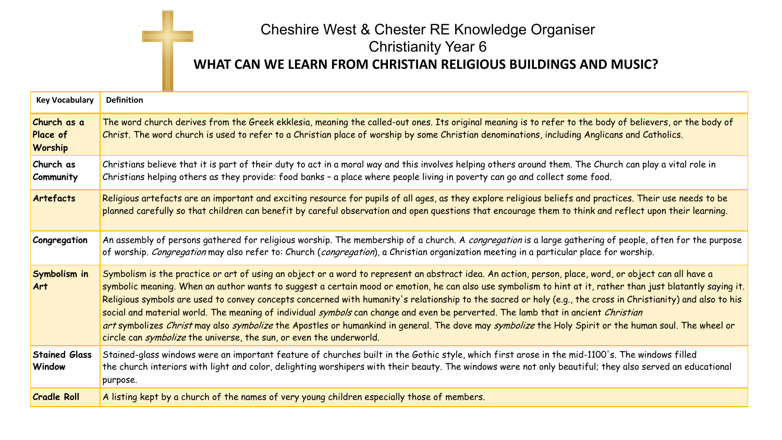# Cheshire West & Chester RE Knowledge Organiser Christianity Year 6 **WHAT CAN WE LEARN FROM CHRISTIAN RELIGIOUS BUILDINGS AND MUSIC?**

| <b>Key Vocabulary</b>              | <b>Definition</b>                                                                                                                                                                                                                                                                                                                                                                                                                                                                                                                                                                                                                                                                                                                                                                                                                                                |
|------------------------------------|------------------------------------------------------------------------------------------------------------------------------------------------------------------------------------------------------------------------------------------------------------------------------------------------------------------------------------------------------------------------------------------------------------------------------------------------------------------------------------------------------------------------------------------------------------------------------------------------------------------------------------------------------------------------------------------------------------------------------------------------------------------------------------------------------------------------------------------------------------------|
| Church as a<br>Place of<br>Worship | The word church derives from the Greek ekklesia, meaning the called-out ones. Its original meaning is to refer to the body of believers, or the body of<br>Christ. The word church is used to refer to a Christian place of worship by some Christian denominations, including Anglicans and Catholics.                                                                                                                                                                                                                                                                                                                                                                                                                                                                                                                                                          |
| Church as<br><b>Community</b>      | Christians believe that it is part of their duty to act in a moral way and this involves helping others around them. The Church can play a vital role in<br>Christians helping others as they provide: food banks - a place where people living in poverty can go and collect some food.                                                                                                                                                                                                                                                                                                                                                                                                                                                                                                                                                                         |
| Artefacts                          | Religious artefacts are an important and exciting resource for pupils of all ages, as they explore religious beliefs and practices. Their use needs to be<br>planned carefully so that children can benefit by careful observation and open questions that encourage them to think and reflect upon their learning.                                                                                                                                                                                                                                                                                                                                                                                                                                                                                                                                              |
| Congregation                       | An assembly of persons gathered for religious worship. The membership of a church. A congregation is a large gathering of people, often for the purpose<br>of worship. Congregation may also refer to: Church (congregation), a Christian organization meeting in a particular place for worship.                                                                                                                                                                                                                                                                                                                                                                                                                                                                                                                                                                |
| Symbolism in<br><b>Art</b>         | Symbolism is the practice or art of using an object or a word to represent an abstract idea. An action, person, place, word, or object can all have a<br>symbolic meaning. When an author wants to suggest a certain mood or emotion, he can also use symbolism to hint at it, rather than just blatantly saying it.<br>Religious symbols are used to convey concepts concerned with humanity's relationship to the sacred or holy (e.g., the cross in Christianity) and also to his<br>social and material world. The meaning of individual symbols can change and even be perverted. The lamb that in ancient Christian<br>art symbolizes Christ may also symbolize the Apostles or humankind in general. The dove may symbolize the Holy Spirit or the human soul. The wheel or<br>circle can <i>symbolize</i> the universe, the sun, or even the underworld. |
| <b>Stained Glass</b><br>Window     | Stained-glass windows were an important feature of churches built in the Gothic style, which first arose in the mid-1100's. The windows filled<br>the church interiors with light and color, delighting worshipers with their beauty. The windows were not only beautiful; they also served an educational<br>purpose.                                                                                                                                                                                                                                                                                                                                                                                                                                                                                                                                           |
| <b>Cradle Roll</b>                 | A listing kept by a church of the names of very young children especially those of members.                                                                                                                                                                                                                                                                                                                                                                                                                                                                                                                                                                                                                                                                                                                                                                      |